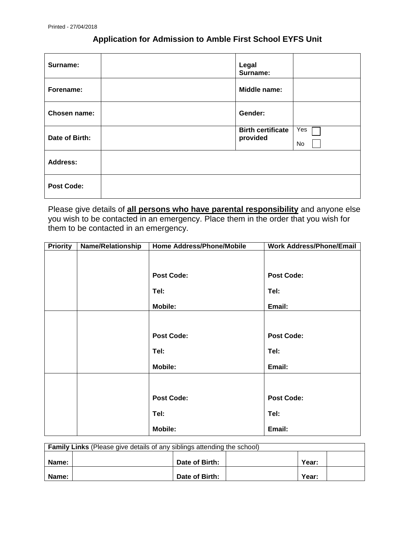## **Application for Admission to Amble First School EYFS Unit**

| Surname:          | Legal<br>Surname:                    |           |
|-------------------|--------------------------------------|-----------|
| Forename:         | Middle name:                         |           |
| Chosen name:      | Gender:                              |           |
| Date of Birth:    | <b>Birth certificate</b><br>provided | Yes<br>No |
| <b>Address:</b>   |                                      |           |
| <b>Post Code:</b> |                                      |           |

Please give details of **all persons who have parental responsibility** and anyone else you wish to be contacted in an emergency. Place them in the order that you wish for them to be contacted in an emergency.

| <b>Priority</b> | <b>Name/Relationship</b> | Home Address/Phone/Mobile | <b>Work Address/Phone/Email</b> |
|-----------------|--------------------------|---------------------------|---------------------------------|
|                 |                          |                           |                                 |
|                 |                          |                           |                                 |
|                 |                          | <b>Post Code:</b>         | <b>Post Code:</b>               |
|                 |                          | Tel:                      | Tel:                            |
|                 |                          | <b>Mobile:</b>            | Email:                          |
|                 |                          |                           |                                 |
|                 |                          | <b>Post Code:</b>         | <b>Post Code:</b>               |
|                 |                          | Tel:                      | Tel:                            |
|                 |                          | <b>Mobile:</b>            | Email:                          |
|                 |                          |                           |                                 |
|                 |                          | <b>Post Code:</b>         | <b>Post Code:</b>               |
|                 |                          | Tel:                      | Tel:                            |
|                 |                          | <b>Mobile:</b>            | Email:                          |

| <b>Family Links</b> (Please give details of any siblings attending the school) |  |                |       |  |
|--------------------------------------------------------------------------------|--|----------------|-------|--|
| Name:                                                                          |  | Date of Birth: | Year: |  |
| Name:                                                                          |  | Date of Birth: | Year: |  |